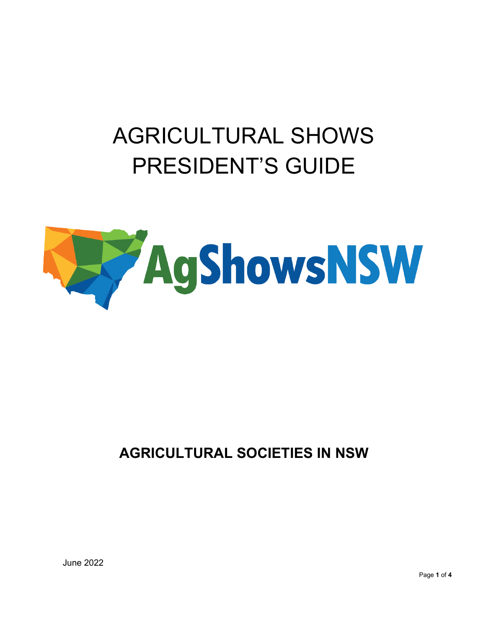# AGRICULTURAL SHOWS PRESIDENT'S GUIDE



# **AGRICULTURAL SOCIETIES IN NSW**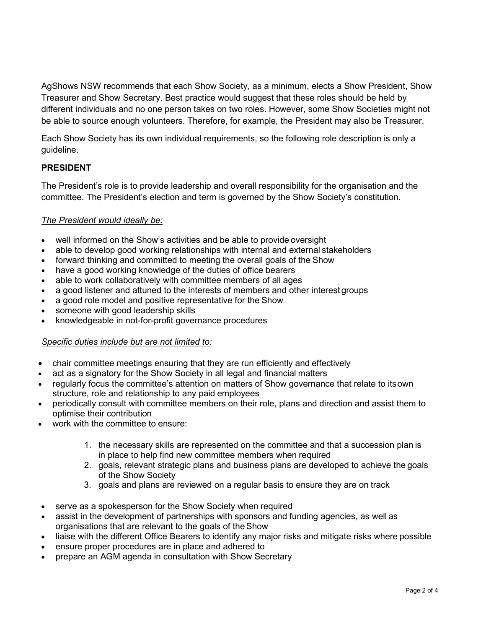AgShows NSW recommends that each Show Society, as a minimum, elects a Show President, Show Treasurer and Show Secretary. Best practice would suggest that these roles should be held by different individuals and no one person takes on two roles. However, some Show Societies might not be able to source enough volunteers. Therefore, for example, the President may also be Treasurer.

Each Show Society has its own individual requirements, so the following role description is only a guideline.

## **PRESIDENT**

The President's role is to provide leadership and overall responsibility for the organisation and the committee. The President's election and term is governed by the Show Society's constitution.

#### *The President would ideally be:*

- well informed on the Show's activities and be able to provide oversight
- able to develop good working relationships with internal and external stakeholders
- forward thinking and committed to meeting the overall goals of the Show
- have a good working knowledge of the duties of office bearers
- able to work collaboratively with committee members of all ages
- a good listener and attuned to the interests of members and other interest groups
- a good role model and positive representative for the Show
- someone with good leadership skills
- knowledgeable in not-for-profit governance procedures

#### *Specific duties include but are not limited to:*

- chair committee meetings ensuring that they are run efficiently and effectively
- act as a signatory for the Show Society in all legal and financial matters
- regularly focus the committee's attention on matters of Show governance that relate to itsown structure, role and relationship to any paid employees
- periodically consult with committee members on their role, plans and direction and assist them to optimise their contribution
- work with the committee to ensure:
	- 1. the necessary skills are represented on the committee and that a succession plan is in place to help find new committee members when required
	- 2. goals, relevant strategic plans and business plans are developed to achieve the goals of the Show Society
	- 3. goals and plans are reviewed on a regular basis to ensure they are on track
- serve as a spokesperson for the Show Society when required
- assist in the development of partnerships with sponsors and funding agencies, as well as organisations that are relevant to the goals of theShow
- liaise with the different Office Bearers to identify any major risks and mitigate risks where possible
- ensure proper procedures are in place and adhered to
- prepare an AGM agenda in consultation with Show Secretary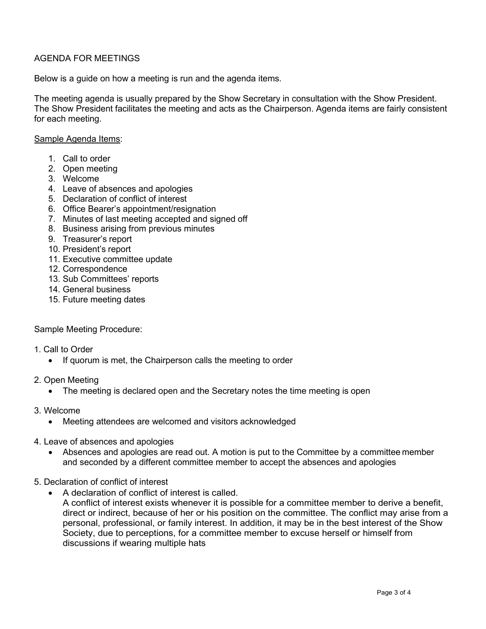### AGENDA FOR MEETINGS

Below is a guide on how a meeting is run and the agenda items.

The meeting agenda is usually prepared by the Show Secretary in consultation with the Show President. The Show President facilitates the meeting and acts as the Chairperson. Agenda items are fairly consistent for each meeting.

#### Sample Agenda Items:

- 1. Call to order
- 2. Open meeting
- 3. Welcome
- 4. Leave of absences and apologies
- 5. Declaration of conflict of interest
- 6. Office Bearer's appointment/resignation
- 7. Minutes of last meeting accepted and signed off
- 8. Business arising from previous minutes
- 9. Treasurer's report
- 10. President's report
- 11. Executive committee update
- 12. Correspondence
- 13. Sub Committees' reports
- 14. General business
- 15. Future meeting dates

#### Sample Meeting Procedure:

- 1. Call to Order
	- If quorum is met, the Chairperson calls the meeting to order
- 2. Open Meeting
	- The meeting is declared open and the Secretary notes the time meeting is open
- 3. Welcome
	- Meeting attendees are welcomed and visitors acknowledged
- 4. Leave of absences and apologies
	- Absences and apologies are read out. A motion is put to the Committee by a committee member and seconded by a different committee member to accept the absences and apologies
- 5. Declaration of conflict of interest
	- A declaration of conflict of interest is called.
		- A conflict of interest exists whenever it is possible for a committee member to derive a benefit, direct or indirect, because of her or his position on the committee. The conflict may arise from a personal, professional, or family interest. In addition, it may be in the best interest of the Show Society, due to perceptions, for a committee member to excuse herself or himself from discussions if wearing multiple hats